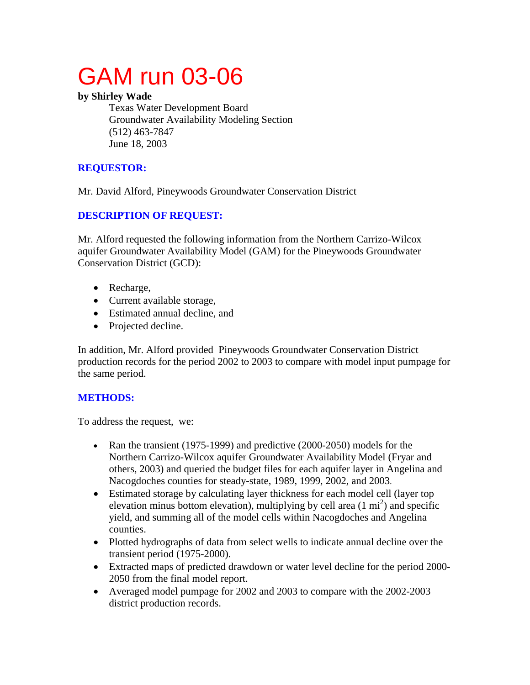# GAM run 03-06

## **by Shirley Wade**

Texas Water Development Board Groundwater Availability Modeling Section (512) 463-7847 June 18, 2003

# **REQUESTOR:**

Mr. David Alford, Pineywoods Groundwater Conservation District

# **DESCRIPTION OF REQUEST:**

Mr. Alford requested the following information from the Northern Carrizo-Wilcox aquifer Groundwater Availability Model (GAM) for the Pineywoods Groundwater Conservation District (GCD):

- Recharge,
- Current available storage,
- Estimated annual decline, and
- Projected decline.

In addition, Mr. Alford provided Pineywoods Groundwater Conservation District production records for the period 2002 to 2003 to compare with model input pumpage for the same period.

# **METHODS:**

To address the request, we:

- Ran the transient (1975-1999) and predictive (2000-2050) models for the Northern Carrizo-Wilcox aquifer Groundwater Availability Model (Fryar and others, 2003) and queried the budget files for each aquifer layer in Angelina and Nacogdoches counties for steady-state, 1989, 1999, 2002, and 2003.
- Estimated storage by calculating layer thickness for each model cell (layer top elevation minus bottom elevation), multiplying by cell area  $(1 \text{ mi}^2)$  and specific yield, and summing all of the model cells within Nacogdoches and Angelina counties.
- Plotted hydrographs of data from select wells to indicate annual decline over the transient period (1975-2000).
- Extracted maps of predicted drawdown or water level decline for the period 2000- 2050 from the final model report.
- Averaged model pumpage for 2002 and 2003 to compare with the 2002-2003 district production records.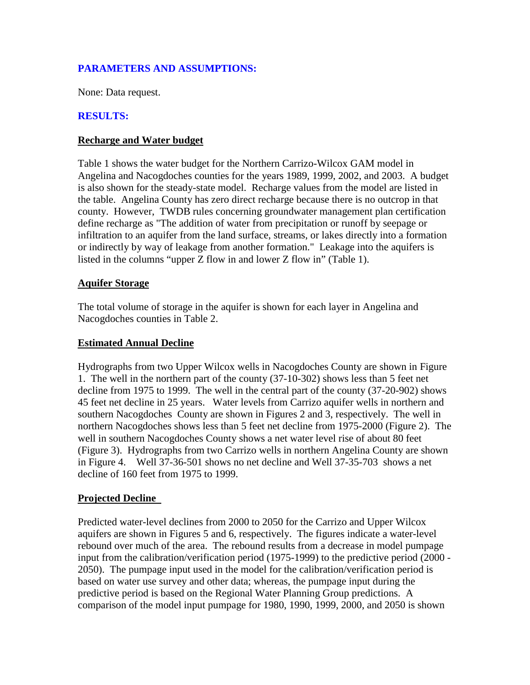## **PARAMETERS AND ASSUMPTIONS:**

None: Data request.

## **RESULTS:**

#### **Recharge and Water budget**

Table 1 shows the water budget for the Northern Carrizo-Wilcox GAM model in Angelina and Nacogdoches counties for the years 1989, 1999, 2002, and 2003. A budget is also shown for the steady-state model. Recharge values from the model are listed in the table. Angelina County has zero direct recharge because there is no outcrop in that county. However, TWDB rules concerning groundwater management plan certification define recharge as "The addition of water from precipitation or runoff by seepage or infiltration to an aquifer from the land surface, streams, or lakes directly into a formation or indirectly by way of leakage from another formation." Leakage into the aquifers is listed in the columns "upper Z flow in and lower Z flow in" (Table 1).

#### **Aquifer Storage**

The total volume of storage in the aquifer is shown for each layer in Angelina and Nacogdoches counties in Table 2.

#### **Estimated Annual Decline**

Hydrographs from two Upper Wilcox wells in Nacogdoches County are shown in Figure 1. The well in the northern part of the county (37-10-302) shows less than 5 feet net decline from 1975 to 1999. The well in the central part of the county (37-20-902) shows 45 feet net decline in 25 years. Water levels from Carrizo aquifer wells in northern and southern Nacogdoches County are shown in Figures 2 and 3, respectively. The well in northern Nacogdoches shows less than 5 feet net decline from 1975-2000 (Figure 2). The well in southern Nacogdoches County shows a net water level rise of about 80 feet (Figure 3). Hydrographs from two Carrizo wells in northern Angelina County are shown in Figure 4. Well 37-36-501 shows no net decline and Well 37-35-703 shows a net decline of 160 feet from 1975 to 1999.

#### **Projected Decline**

Predicted water-level declines from 2000 to 2050 for the Carrizo and Upper Wilcox aquifers are shown in Figures 5 and 6, respectively. The figures indicate a water-level rebound over much of the area. The rebound results from a decrease in model pumpage input from the calibration/verification period (1975-1999) to the predictive period (2000 - 2050). The pumpage input used in the model for the calibration/verification period is based on water use survey and other data; whereas, the pumpage input during the predictive period is based on the Regional Water Planning Group predictions. A comparison of the model input pumpage for 1980, 1990, 1999, 2000, and 2050 is shown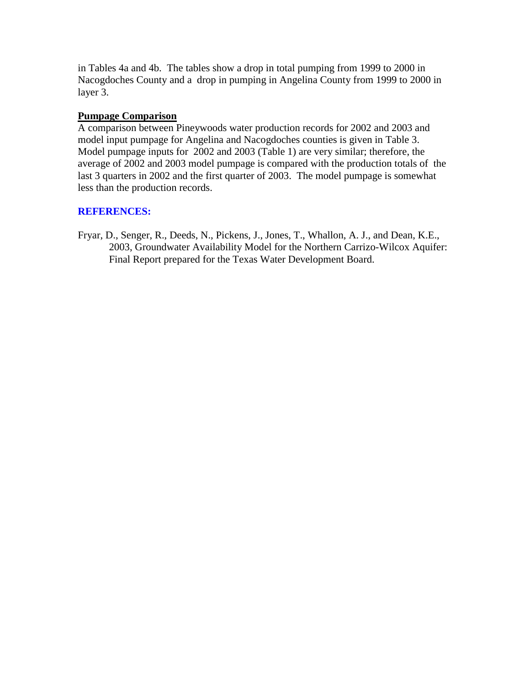in Tables 4a and 4b. The tables show a drop in total pumping from 1999 to 2000 in Nacogdoches County and a drop in pumping in Angelina County from 1999 to 2000 in layer 3.

## **Pumpage Comparison**

A comparison between Pineywoods water production records for 2002 and 2003 and model input pumpage for Angelina and Nacogdoches counties is given in Table 3. Model pumpage inputs for 2002 and 2003 (Table 1) are very similar; therefore, the average of 2002 and 2003 model pumpage is compared with the production totals of the last 3 quarters in 2002 and the first quarter of 2003. The model pumpage is somewhat less than the production records.

## **REFERENCES:**

Fryar, D., Senger, R., Deeds, N., Pickens, J., Jones, T., Whallon, A. J., and Dean, K.E., 2003, Groundwater Availability Model for the Northern Carrizo-Wilcox Aquifer: Final Report prepared for the Texas Water Development Board.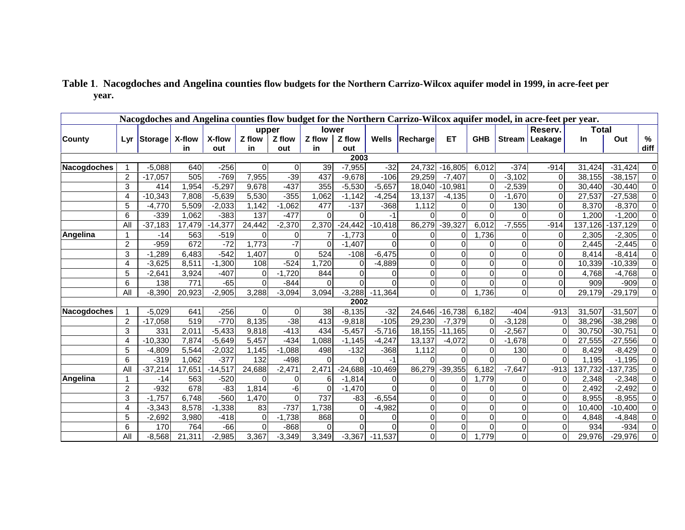|               | Nacogdoches and Angelina counties flow budget for the Northern Carrizo-Wilcox aquifer model, in acre-feet per year. |           |        |           |          |          |          |           |           |                       |           |            |               |             |              |            |                |
|---------------|---------------------------------------------------------------------------------------------------------------------|-----------|--------|-----------|----------|----------|----------|-----------|-----------|-----------------------|-----------|------------|---------------|-------------|--------------|------------|----------------|
|               |                                                                                                                     |           |        |           | upper    |          |          | lower     |           |                       |           |            |               | Reserv.     | <b>Total</b> |            |                |
| <b>County</b> | Lyr                                                                                                                 | Storage   | X-flow | X-flow    | Z flow   | Z flow   | Z flow   | Z flow    |           | <b>Wells Recharge</b> | ET.       | <b>GHB</b> | <b>Stream</b> | Leakage     | In           | Out        | %              |
|               |                                                                                                                     |           | in     | out       | in.      | out      | in.      | out       |           |                       |           |            |               |             |              |            | diff           |
|               |                                                                                                                     |           |        |           |          |          |          | 2003      |           |                       |           |            |               |             |              |            |                |
| Nacogdoches   |                                                                                                                     | $-5,088$  | 640    | $-256$    | 0        | 0        | 39       | $-7,955$  | $-32$     | 24,732                | $-16,805$ | 6,012      | $-374$        | $-914$      | 31,424       | $-31,424$  | 0              |
|               | $\overline{c}$                                                                                                      | $-17,057$ | 505    | $-769$    | 7,955    | $-39$    | 437      | $-9,678$  | $-106$    | 29,259                | $-7,407$  |            | $-3,102$      | $\Omega$    | 38,155       | $-38,157$  | $\Omega$       |
|               | 3                                                                                                                   | 414       | 1.954  | $-5,297$  | 9.678    | $-437$   | 355      | $-5,530$  | $-5,657$  | 18,040                | $-10,981$ |            | $-2,539$      | $\Omega$    | 30,440       | $-30.440$  | 0              |
|               | 4                                                                                                                   | $-10,343$ | 7,808  | $-5,639$  | 5,530    | $-355$   | 1,062    | $-1,142$  | $-4,254$  | 13,137                | $-4,135$  |            | $-1,670$      | $\mathbf 0$ | 27,537       | $-27,538$  | $\overline{0}$ |
|               | 5                                                                                                                   | $-4.770$  | 5,509  | $-2,033$  | 1,142    | $-1.062$ | 477      | $-137$    | $-368$    | 1,112                 |           |            | 130           | $\Omega$    | 8,370        | $-8,370$   | $\overline{0}$ |
|               | 6                                                                                                                   | $-339$    | 1,062  | $-383$    | 137      | $-477$   | $\Omega$ | $\Omega$  | -1        |                       |           |            |               | $\Omega$    | 1,200        | $-1,200$   | $\overline{0}$ |
|               | All                                                                                                                 | $-37,183$ | 17,479 | $-14,377$ | 24,442   | $-2,370$ | 2,370    | $-24,442$ | $-10,418$ | 86,279                | $-39,327$ | 6,012      | $-7,555$      | $-914$      | 137,126      | $-137,129$ | $\overline{0}$ |
| Angelina      | 1                                                                                                                   | $-14$     | 563    | $-519$    | 0        | 0        |          | $-1.773$  | $\Omega$  | 0                     | 0         | 1,736      |               | $\Omega$    | 2,305        | $-2,305$   | $\overline{0}$ |
|               | $\overline{2}$                                                                                                      | $-959$    | 672    | $-72$     | 1,773    | -7       | $\Omega$ | $-1,407$  |           | 0                     | $\Omega$  |            |               | $\Omega$    | 2,445        | $-2,445$   | $\overline{0}$ |
|               | 3                                                                                                                   | $-1,289$  | 6,483  | $-542$    | 1,407    | $\Omega$ | 524      | $-108$    | $-6,475$  | $\mathbf{0}$          | $\Omega$  |            |               | $\Omega$    | 8,414        | $-8,414$   | $\overline{0}$ |
|               | 4                                                                                                                   | $-3,625$  | 8,511  | $-1,300$  | 108      | $-524$   | 1,720    | $\Omega$  | $-4,889$  | $\mathbf 0$           | 0         |            |               | 0           | 10,339       | $-10,339$  | $\Omega$       |
|               | 5                                                                                                                   | $-2,641$  | 3,924  | $-407$    | 0        | $-1,720$ | 844      |           |           | $\Omega$              | $\Omega$  |            |               | $\Omega$    | 4,768        | $-4,768$   | $\Omega$       |
|               | 6                                                                                                                   | 138       | 771    | $-65$     | 0        | $-844$   | 0        |           |           | $\overline{0}$        | 0         |            | 0             | 0           | 909          | $-909$     | $\Omega$       |
|               | All                                                                                                                 | $-8,390$  | 20,923 | $-2,905$  | 3,288    | $-3,094$ | 3,094    | $-3,288$  | $-11,364$ | $\Omega$              | $\Omega$  | 1,736      | Οl            | $\Omega$    | 29,179       | $-29,179$  | $\overline{0}$ |
|               |                                                                                                                     |           |        |           |          |          |          | 2002      |           |                       |           |            |               |             |              |            |                |
| Nacogdoches   |                                                                                                                     | $-5,029$  | 641    | $-256$    | 0        | $\Omega$ | 38       | $-8,135$  | $-32$     | 24,646                | $-16,738$ | 6,182      | $-404$        | $-913$      | 31,507       | $-31,507$  | $\Omega$       |
|               | $\overline{c}$                                                                                                      | $-17,058$ | 519    | $-770$    | 8,135    | $-38$    | 413      | $-9,818$  | $-105$    | 29,230                | $-7,379$  |            | $-3,128$      |             | 38,296       | $-38,298$  |                |
|               | 3                                                                                                                   | 331       | 2,011  | $-5,433$  | 9,818    | $-413$   | 434      | $-5,457$  | $-5,716$  | 18,155                | $-11,165$ |            | $-2,567$      |             | 30,750       | $-30,751$  | $\Omega$       |
|               | 4                                                                                                                   | $-10,330$ | 7,874  | $-5,649$  | 5,457    | $-434$   | 1,088    | $-1,145$  | $-4,247$  | 13,137                | $-4,072$  |            | $-1,678$      |             | 27,555       | $-27,556$  | $\overline{0}$ |
|               | 5                                                                                                                   | $-4.809$  | 5,544  | $-2,032$  | 1,145    | $-1.088$ | 498      | $-132$    | $-368$    | 1,112                 |           |            | 130           |             | 8,429        | $-8,429$   | 0              |
|               | 6                                                                                                                   | $-319$    | 1,062  | $-377$    | 132      | $-498$   | $\Omega$ | $\Omega$  | $-1$      |                       |           |            |               |             | 1,195        | $-1,195$   | 0              |
|               | All                                                                                                                 | $-37,214$ | 17,651 | $-14,517$ | 24,688   | $-2,471$ | 2,471    | $-24,688$ | $-10,469$ | 86,279                | $-39,355$ | 6,182      | $-7,647$      | $-913$      | 137,732      | $-137,735$ | $\Omega$       |
| Angelina      | 1                                                                                                                   | $-14$     | 563    | $-520$    | 0        | 0        | 6        | $-1,814$  | $\Omega$  | $\Omega$              | 0         | 1,779      |               | 0           | 2,348        | $-2,348$   | $\overline{0}$ |
|               | $\overline{2}$                                                                                                      | $-932$    | 678    | $-83$     | 1,814    | -6       | $\Omega$ | $-1,470$  |           |                       | $\Omega$  |            |               | O.          | 2,492        | $-2,492$   | $\overline{0}$ |
|               | 3                                                                                                                   | $-1,757$  | 6,748  | $-560$    | 1,470    | $\Omega$ | 737      | $-83$     | $-6,554$  | $\mathbf 0$           | $\Omega$  |            |               | 0           | 8,955        | $-8,955$   | $\overline{0}$ |
|               | 4                                                                                                                   | $-3,343$  | 8,578  | $-1,338$  | 83       | $-737$   | 1,738    | $\Omega$  | $-4,982$  | $\overline{0}$        | $\Omega$  |            |               |             | 10,400       | $-10,400$  | $\overline{0}$ |
|               | 5                                                                                                                   | $-2,692$  | 3,980  | $-418$    | 0        | $-1,738$ | 868      |           |           | $\overline{0}$        | $\Omega$  |            |               |             | 4,848        | $-4,848$   | $\overline{0}$ |
|               | 6                                                                                                                   | 170       | 764    | $-66$     | $\Omega$ | $-868$   | $\Omega$ |           |           | 0                     | $\pmb{0}$ |            |               |             | 934          | $-934$     | $\overline{0}$ |
|               | All                                                                                                                 | $-8,568$  | 21,311 | $-2,985$  | 3,367    | $-3,349$ | 3,349    | $-3,367$  | $-11,537$ | $\Omega$              | $\Omega$  | 1,779      | ΩI            | O.          | 29,976       | $-29,976$  | $\overline{0}$ |

## **Table 1**. **Nacogdoches and Angelina counties flow budgets for the Northern Carrizo-Wilcox aquifer model in 1999, in acre-feet per year.**

**T**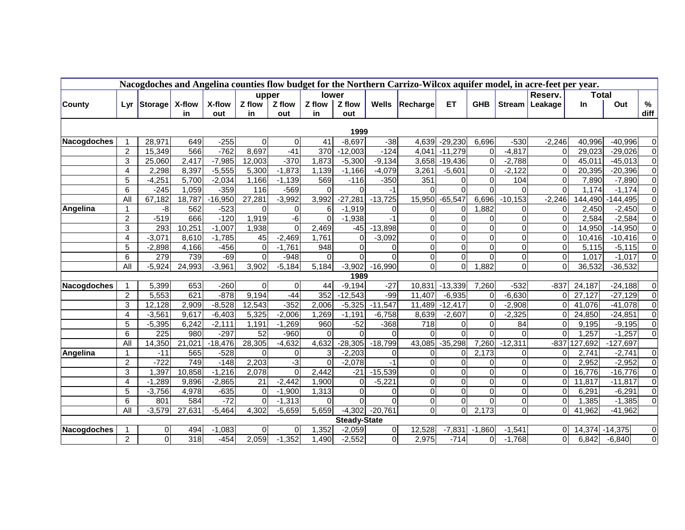|                    | Nacogdoches and Angelina counties flow budget for the Northern Carrizo-Wilcox aquifer model, in acre-feet per year. |                         |            |                    |             |                 |                |                     |                            |                |                    |            |               |          |                |              |                     |
|--------------------|---------------------------------------------------------------------------------------------------------------------|-------------------------|------------|--------------------|-------------|-----------------|----------------|---------------------|----------------------------|----------------|--------------------|------------|---------------|----------|----------------|--------------|---------------------|
|                    |                                                                                                                     |                         |            |                    | upper       |                 | lower          |                     |                            |                |                    |            |               | Reserv.  |                | <b>Total</b> |                     |
| County             | Lyr                                                                                                                 | Storage                 | X-flow     | X-flow             | Z flow      | Z flow          | Z flow         | Z flow              | <b>Wells</b>               | Recharge       | ET.                | <b>GHB</b> | <b>Stream</b> | Leakage  | <b>In</b>      | Out          | $\%$                |
|                    |                                                                                                                     |                         | in         | out                | in          | out             | in             | out                 |                            |                |                    |            |               |          |                |              | diff                |
| 1999               |                                                                                                                     |                         |            |                    |             |                 |                |                     |                            |                |                    |            |               |          |                |              |                     |
| Nacogdoches        |                                                                                                                     | 28,971                  | 649        | $-255$             | $\mathbf 0$ | $\overline{0}$  | 41             | $-8,697$            | $-38$                      | 4,639          | $-29,230$          | 6,696      | $-530$        | $-2,246$ | 40,996         | $-40,996$    | 0                   |
|                    | $\overline{c}$                                                                                                      | 15,349                  | 566        | $-762$             | 8,697       | $-41$           | 370            | $-12,003$           | $-124$                     | 4,041          | $-11,279$          | $\Omega$   | $-4,817$      | $\Omega$ | 29,023         | $-29,026$    | $\pmb{0}$           |
|                    | 3                                                                                                                   | 25,060                  | 2,417      | $-7,985$           | 12,003      | $-370$          | 1,873          | $-5,300$            | $-9,134$                   | 3,658          | $-19,436$          | 0          | $-2,788$      | $\Omega$ | 45,011         | $-45,013$    | $\overline{0}$      |
|                    | $\overline{4}$                                                                                                      | 2,298                   | 8,397      | $-5,555$           | 5,300       | $-1,873$        | 1,139          | $-1,166$            | $-4,079$                   | 3,261          | $-5,601$           | ∩          | $-2,122$      | $\Omega$ | 20,395         | $-20,396$    | $\overline{0}$      |
|                    | 5                                                                                                                   | $-4,251$                | 5,700      | $-2,034$           | 1,166       | $-1,139$        | 569            | $-116$              | $-350$                     | 351            | $\overline{0}$     | 0          | 104           | $\Omega$ | 7,890          | $-7,890$     | $\mathsf 0$         |
|                    | 6                                                                                                                   | $-245$                  | 1,059      | $-359$             | 116         | $-569$          | $\Omega$       | $\Omega$            | -1                         | $\Omega$       | $\Omega$           | $\Omega$   |               | $\Omega$ | 1,174          | $-1,174$     | $\overline{0}$      |
|                    | All                                                                                                                 | 67,182                  | 18,787     | $-16,950$          | 27,281      | $-3,992$        | 3,992          | $-27,281$           | $-13,725$                  | 15,950         | $-65,547$          | 6,696      | $-10,153$     | $-2,246$ | 144,490        | $-144,495$   | $\overline{0}$      |
| Angelina           | $\mathbf{1}$                                                                                                        | -8                      | 562        | $-523$             | $\mathbf 0$ | 0               | 6              | $-1,919$            | $\Omega$                   | 0              | $\Omega$           | 1,882      |               | $\Omega$ | 2,450          | $-2,450$     | $\overline{0}$      |
|                    | $\overline{c}$                                                                                                      | $-519$                  | 666        | $-120$             | 1,919       | $-\overline{6}$ | $\overline{0}$ | $-1,938$            | $-1$                       | $\overline{0}$ | $\Omega$           |            | $\Omega$      | $\Omega$ | 2,584          | $-2,584$     | $\overline{0}$      |
|                    | 3                                                                                                                   | 293                     | 10,251     | $-1,007$           | 1,938       | $\mathbf 0$     | 2,469          | $-45$               | $-13,898$                  | $\overline{0}$ | $\Omega$           |            | $\Omega$      | $\Omega$ | 14,950         | $-14,950$    | $\overline{0}$      |
|                    | 4                                                                                                                   | $-3,071$                | 8,610      | $-1,785$           | 45          | $-2,469$        | 1,761          | $\Omega$            | $-3,092$                   | $\overline{0}$ | $\Omega$           | $\Omega$   | $\Omega$      | $\Omega$ | 10,416         | $-10,416$    | $\overline{0}$      |
|                    | 5                                                                                                                   | $-2,898$                | 4,166      | $-456$             | $\Omega$    | $-1,761$        | 948            | $\Omega$            | $\Omega$                   | $\overline{0}$ | $\Omega$           | $\Omega$   | $\Omega$      | $\Omega$ | 5,115          | $-5,115$     | $\overline{0}$      |
|                    | 6                                                                                                                   | 279                     | 739        | $-69$              | $\Omega$    | $-948$          | $\Omega$       | $\Omega$            | $\Omega$                   | $\overline{0}$ | $\overline{0}$     | $\Omega$   | $\Omega$      | $\Omega$ | 1,017          | $-1,017$     | $\overline{0}$      |
|                    | All                                                                                                                 | $-5,924$                | 24,993     | $-3,961$           | 3,902       | $-5,184$        | 5,184          | $-3,902$            | $-16,990$                  | $\Omega$       | $\Omega$           | 1,882      | $\Omega$      | ΩI       | 36,532         | $-36,532$    |                     |
|                    |                                                                                                                     |                         |            |                    |             |                 |                | 1989                |                            |                |                    |            |               |          |                |              |                     |
| <b>Nacogdoches</b> |                                                                                                                     | 5,399                   | 653        | $-260$             | 0           | 0               | 44             | $-9,194$            | $-27$                      | 10,831         | $-13,339$          | 7,260      | $-532$        | $-837$   | 24,187         | $-24,188$    | 0                   |
|                    | $\overline{c}$                                                                                                      | 5,553                   | 621        | $-878$             | 9,194       | $-44$           | 352            | $-12,543$           | $-99$                      | 11,407         | $-6,935$           | $\Omega$   | $-6,630$      | $\Omega$ | 27,127         | $-27,129$    | $\overline{0}$      |
|                    | 3                                                                                                                   | 12,128                  | 2,909      | $-8,528$           | 12,543      | $-352$          | 2,006          | $-5,325$            | $-11,547$                  | 11,489         | $-12,417$          | $\Omega$   | $-2,908$      | $\Omega$ | 41,076         | $-41,078$    | $\overline{0}$      |
|                    | 4                                                                                                                   | $-3,561$                | 9,617      | $-6,403$           | 5,325       | $-2,006$        | 1,269          | $-1,191$            | $-6,758$                   | 8,639          | $-2,607$           | $\Omega$   | $-2,325$      | $\Omega$ | 24,850         | $-24,851$    | $\overline{0}$      |
|                    | 5                                                                                                                   | $-5,395$                | 6,242      | $-2,111$           | 1,191       | $-1,269$        | 960            | $-52$               | $-368$                     | 718            | 0                  | 0          | 84            | $\Omega$ | 9,195          | $-9,195$     | $\overline{0}$      |
|                    | 6                                                                                                                   | 225                     | 980        | $-297$             | 52          | $-960$          | $\Omega$       | $\Omega$            | $\Omega$                   | $\Omega$       | $\Omega$           | $\Omega$   | $\Omega$      | $\Omega$ | 1,257          | $-1,257$     | $\overline{0}$      |
|                    | All                                                                                                                 | 14,350                  | 21,021     | $-18,476$          | 28,305      | $-4,632$        | 4,632          | $-28,305$           | $-18,799$                  | 43,085         | $-35,298$          | 7,260      | $-12,311$     |          | $-837$ 127,692 | $-127,697$   |                     |
| Angelina           | $\mathbf 1$                                                                                                         | $-11$                   | 565        | $-528$             | $\mathbf 0$ | 0               | 3              | $-2,203$            | $\mathbf 0$                | $\overline{0}$ | 01                 | 2,173      | 0             | $\Omega$ | 2,741          | $-2,741$     | 0                   |
|                    | $\boldsymbol{2}$                                                                                                    | $-722$                  | 749        | $-148$             | 2,203       | $-3$            | $\mathbf 0$    | $-2,078$            | $-1$                       | $\overline{0}$ | $\Omega$           | 0          | 0             | $\Omega$ | 2,952          | $-2,952$     | $\overline{0}$      |
|                    | 3                                                                                                                   | 1,397                   | 10,858     | $-1,216$           | 2,078       | $\Omega$        | 2,442          | $-21$               | $-15,539$                  | $\overline{0}$ | $\Omega$           | $\Omega$   | $\Omega$      | ΩI       | 16,776         | $-16,776$    | $\overline{0}$      |
|                    | 4                                                                                                                   | $-1,289$                | 9,896      | $-2,865$           | 21          | $-2,442$        | 1,900          | $\mathbf 0$         | $-5,221$                   | $\Omega$       | $\Omega$           | $\Omega$   | $\Omega$      | $\Omega$ | 11,817         | $-11,817$    | $\overline{0}$      |
|                    | 5                                                                                                                   | $-3,756$                | 4,978      | $-635$             | $\pmb{0}$   | $-1,900$        | 1,313          | $\Omega$            | $\mathbf 0$                | $\overline{0}$ | $\overline{0}$     | $\Omega$   | $\Omega$      | $\Omega$ | 6,291          | $-6,291$     | $\overline{0}$      |
|                    | 6                                                                                                                   | 801                     | 584        | $-72$              | $\mathbf 0$ | $-1,313$        | 0              | $\Omega$            | $\Omega$                   | $\overline{0}$ | $\overline{0}$     | $\Omega$   | 0             | $\Omega$ | 1,385          | $-1,385$     | $\overline{0}$      |
|                    | All                                                                                                                 | $-3,579$                | 27,631     | $-5,464$           | 4,302       | $-5,659$        | 5,659          | $-4,302$            | $-20,761$                  | $\overline{0}$ | $\Omega$           | 2,173      | $\Omega$      | $\Omega$ | 41,962         | $-41,962$    |                     |
|                    |                                                                                                                     |                         |            |                    |             |                 |                | <b>Steady-State</b> |                            |                |                    |            |               |          |                |              |                     |
| Nacogdoches        | $\overline{2}$                                                                                                      | $\mathbf 0$<br>$\Omega$ | 494<br>318 | $-1,083$<br>$-454$ | 0           | 0               | 1,352          | $-2,059$            | $\mathbf 0$<br>$\mathbf 0$ | 12,528         | $-7,831$<br>$-714$ | $-1,860$   | $-1,541$      | 01<br>0l | 14,374         | $-14,375$    | 0<br>$\overline{0}$ |
|                    |                                                                                                                     |                         |            |                    | 2,059       | $-1,352$        | 1,490          | $-2,552$            |                            | 2,975          |                    | $\Omega$   | $-1,768$      |          | 6,842          | $-6,840$     |                     |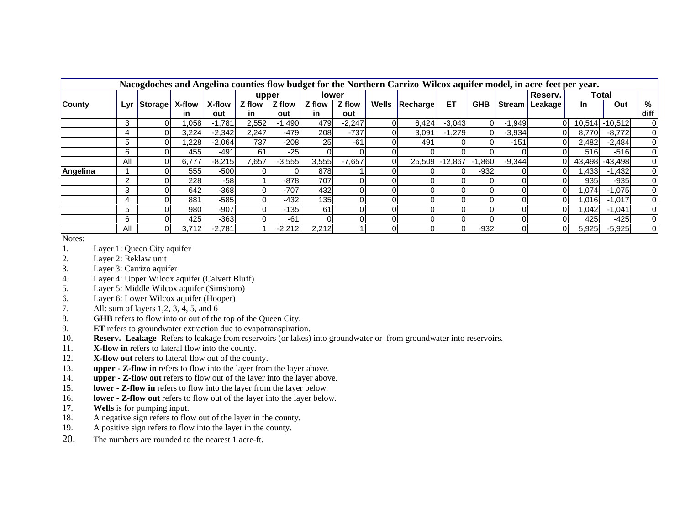|               | Nacogdoches and Angelina counties flow budget for the Northern Carrizo-Wilcox aquifer model, in acre-feet per year. |                |        |          |        |          |              |          |          |          |                |            |               |         |        |                |                |
|---------------|---------------------------------------------------------------------------------------------------------------------|----------------|--------|----------|--------|----------|--------------|----------|----------|----------|----------------|------------|---------------|---------|--------|----------------|----------------|
|               |                                                                                                                     |                |        |          | upper  |          | <b>lower</b> |          |          |          |                |            |               | Reserv. |        | Total          |                |
| <b>County</b> | Lyr                                                                                                                 | <b>Storage</b> | X-flow | X-flow   | Z flow | Z flow   | Z flow       | Z flow   | Wells    | Recharge | ET             | <b>GHB</b> | <b>Stream</b> | Leakage | In.    | Out            | %              |
|               |                                                                                                                     |                | in     | out      | in     | out      | in           | out      |          |          |                |            |               |         |        |                | diff           |
|               | 3                                                                                                                   |                | .058   | $-1,781$ | 2,552  | -1,490   | 479          | $-2,247$ |          | 6,424    | $-3,043$       |            | $-1,949$      |         |        | 10,514 -10,512 |                |
|               | 4                                                                                                                   |                | 3,224  | $-2,342$ | 2,247  | $-479$   | 208          | $-737$   |          | 3.091    | $-1,279$       |            | $-3,934$      |         | 8.770  | $-8,772$       | 0              |
|               | 5                                                                                                                   |                | .228   | $-2,064$ | 737    | $-208$   | 25           | $-61$    |          | 491      |                |            | $-151$        |         | 2,482  | $-2,484$       | 0              |
|               | 6                                                                                                                   |                | 455    | -491     | 61     | $-25$    |              |          |          |          |                |            |               |         | 516    | -516           | 0              |
|               | All                                                                                                                 |                | 6,777  | $-8,215$ | 557.   | $-3,555$ | 3,555        | $-7,657$ |          |          | 25,509 -12,867 | .860       | $-9,344$      |         | 43,498 | $-43,498$      |                |
| Angelina      |                                                                                                                     |                | 555    | $-500$   |        |          | 878          |          |          |          | ΩI             | -932       |               |         | 1,433  | $-1,432$       |                |
|               | 2                                                                                                                   |                | 228    | $-58$    |        | $-878$   | 707          |          |          |          |                |            |               |         | 935    | $-935$         | $\overline{0}$ |
|               | 3                                                                                                                   |                | 642    | $-368$   |        | $-707$   | 432          |          |          |          | 01             |            |               |         | 1,074  | $-1,075$       | 0              |
|               | 4                                                                                                                   |                | 881    | $-585$   |        | $-432$   | 135          |          |          |          | ΩI             |            |               |         | 1,016  | $-1,017$       |                |
|               | 5                                                                                                                   |                | 980    | $-907$   |        | $-135$   | 61           |          |          |          |                |            |               |         | 1,042  | $-1,041$       |                |
|               | 6                                                                                                                   |                | 425    | $-363$   |        | $-61$    |              |          |          |          | 01             |            |               |         | 425    | $-425$         | 0              |
|               | All                                                                                                                 |                | 3.712  | $-2,781$ |        | $-2,212$ | 2,212        |          | $\Omega$ |          | $\Omega$       | $-932$     |               |         | 5,925  | $-5,925$       | 0              |

Notes:

- 1.Layer 1: Queen City aquifer
- 2.Layer 2: Reklaw unit
- 3.Layer 3: Carrizo aquifer
- 4.Layer 4: Upper Wilcox aquifer (Calvert Bluff)
- 5.Layer 5: Middle Wilcox aquifer (Simsboro)
- 6.Layer 6: Lower Wilcox aquifer (Hooper)
- 7.All: sum of layers 1,2, 3, 4, 5, and 6
- 8.GHB refers to flow into or out of the top of the Queen City.
- 9.**ET** refers to groundwater extraction due to evapotranspiration.
- 10.**Reserv. Leakage** Refers to leakage from reservoirs (or lakes) into groundwater or from groundwater into reservoirs.
- 11.**X-flow in** refers to lateral flow into the county.
- 12.**X-flow out** refers to lateral flow out of the county.
- 13.**upper - Z-flow in** refers to flow into the layer from the layer above.
- 14.**upper - Z-flow out** refers to flow out of the layer into the layer above.
- 15.**lower - Z-flow in** refers to flow into the layer from the layer below.
- 16.**lower - Z-flow out** refers to flow out of the layer into the layer below.
- 17.**Wells** is for pumping input.
- 18.A negative sign refers to flow out of the layer in the county.
- 19.A positive sign refers to flow into the layer in the county.
- 20.The numbers are rounded to the nearest 1 acre-ft.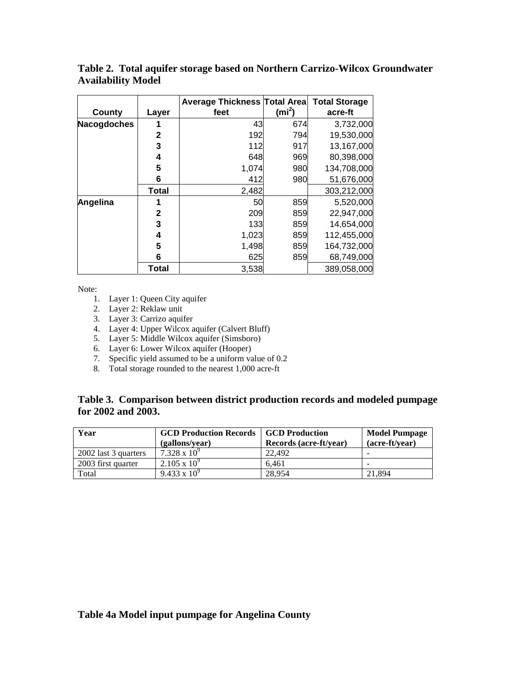|             |              | <b>Average Thickness Total Area</b> |                   | <b>Total Storage</b> |
|-------------|--------------|-------------------------------------|-------------------|----------------------|
| County      | Layer        | feet                                | (m <sup>2</sup> ) | acre-ft              |
| Nacogdoches |              | 43                                  | 674               | 3,732,000            |
|             | $\mathbf{2}$ | 192                                 | 794               | 19,530,000           |
|             | 3            | 112                                 | 917               | 13,167,000           |
|             | 4            | 648                                 | 969               | 80,398,000           |
|             | 5            | 1,074                               | 980               | 134,708,000          |
|             | 6            | 412                                 | 980               | 51,676,000           |
|             | <b>Total</b> | 2,482                               |                   | 303,212,000          |
| Angelina    |              | 50                                  | 859               | 5,520,000            |
|             | $\mathbf{2}$ | 209                                 | 859               | 22,947,000           |
|             | 3            | 133                                 | 859               | 14,654,000           |
|             | 4            | 1,023                               | 859               | 112,455,000          |
|             | 5            | 1,498                               | 859               | 164,732,000          |
|             | 6            | 625                                 | 859               | 68,749,000           |
|             | Total        | 3,538                               |                   | 389,058,000          |

**Table 2. Total aquifer storage based on Northern Carrizo-Wilcox Groundwater Availability Model**

Note:

- 1. Layer 1: Queen City aquifer
- 2. Layer 2: Reklaw unit
- 3. Layer 3: Carrizo aquifer
- 4. Layer 4: Upper Wilcox aquifer (Calvert Bluff)
- 5. Layer 5: Middle Wilcox aquifer (Simsboro)
- 6. Layer 6: Lower Wilcox aquifer (Hooper)
- 7. Specific yield assumed to be a uniform value of 0.2
- 8. Total storage rounded to the nearest 1,000 acre-ft

#### **Table 3. Comparison between district production records and modeled pumpage for 2002 and 2003.**

| Year                 | <b>GCD Production Records</b><br>(gallons/year) | <b>SCD Production</b><br>Records (acre-ft/year) | <b>Model Pumpage</b><br>(acre-ft/year) |
|----------------------|-------------------------------------------------|-------------------------------------------------|----------------------------------------|
| 2002 last 3 quarters | $7.328 \times 10^{9}$                           | 22,492                                          | -                                      |
| 2003 first quarter   | $2.105 \times 10^{9}$                           | 6.461                                           | -                                      |
| Total                | $9.433 \times 10^{9}$                           | 28.954                                          | 21.894                                 |

#### **Table 4a Model input pumpage for Angelina County**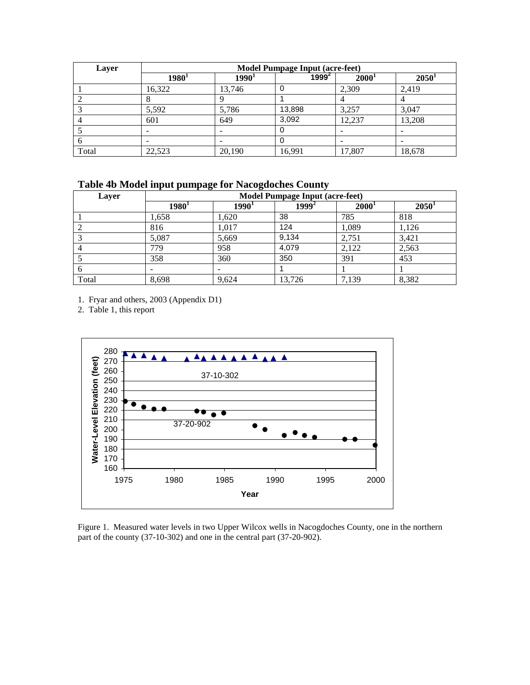| Layer | <b>Model Pumpage Input (acre-feet)</b> |          |          |                   |          |  |  |  |  |  |
|-------|----------------------------------------|----------|----------|-------------------|----------|--|--|--|--|--|
|       | $1980^1$                               | $1990^1$ | $1999^2$ | 2000 <sup>1</sup> | $2050^1$ |  |  |  |  |  |
|       | 16.322                                 | 13.746   |          | 2,309             | 2.419    |  |  |  |  |  |
|       |                                        |          |          |                   |          |  |  |  |  |  |
|       | 5,592                                  | 5,786    | 13,898   | 3,257             | 3,047    |  |  |  |  |  |
|       | 601                                    | 649      | 3,092    | 12,237            | 13,208   |  |  |  |  |  |
|       |                                        |          |          |                   |          |  |  |  |  |  |
| o     | -                                      |          |          |                   |          |  |  |  |  |  |
| Total | 22,523                                 | 20,190   | 16,991   | 17,807            | 18,678   |  |  |  |  |  |

**Table 4b Model input pumpage for Nacogdoches County**

| Layer         |          |          | <b>Model Pumpage Input (acre-feet)</b> |                   |          |
|---------------|----------|----------|----------------------------------------|-------------------|----------|
|               | $1980^1$ | $1990^1$ | $1999^2$                               | 2000 <sup>1</sup> | $2050^1$ |
|               | 1,658    | 1,620    | 38                                     | 785               | 818      |
|               | 816      | 1,017    | 124                                    | 1,089             | 1,126    |
|               | 5,087    | 5,669    | 9,134                                  | 2,751             | 3,421    |
|               | 779      | 958      | 4,079                                  | 2,122             | 2,563    |
|               | 358      | 360      | 350                                    | 391               | 453      |
| $\mathfrak b$ |          | -        |                                        |                   |          |
| Total         | 8,698    | 9.624    | 13.726                                 | 7.139             | 8,382    |

1. Fryar and others, 2003 (Appendix D1)

2. Table 1, this report



Figure 1. Measured water levels in two Upper Wilcox wells in Nacogdoches County, one in the northern part of the county (37-10-302) and one in the central part (37-20-902).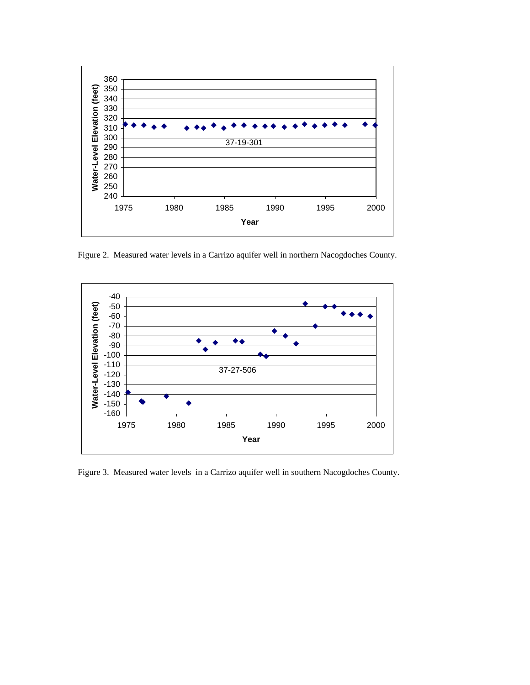

Figure 2. Measured water levels in a Carrizo aquifer well in northern Nacogdoches County.



Figure 3. Measured water levels in a Carrizo aquifer well in southern Nacogdoches County.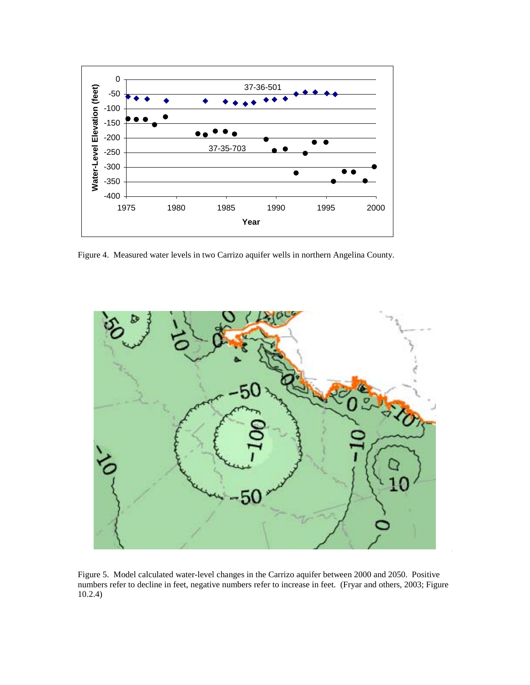

Figure 4. Measured water levels in two Carrizo aquifer wells in northern Angelina County.



Figure 5. Model calculated water-level changes in the Carrizo aquifer between 2000 and 2050. Positive numbers refer to decline in feet, negative numbers refer to increase in feet. (Fryar and others, 2003; Figure 10.2.4)